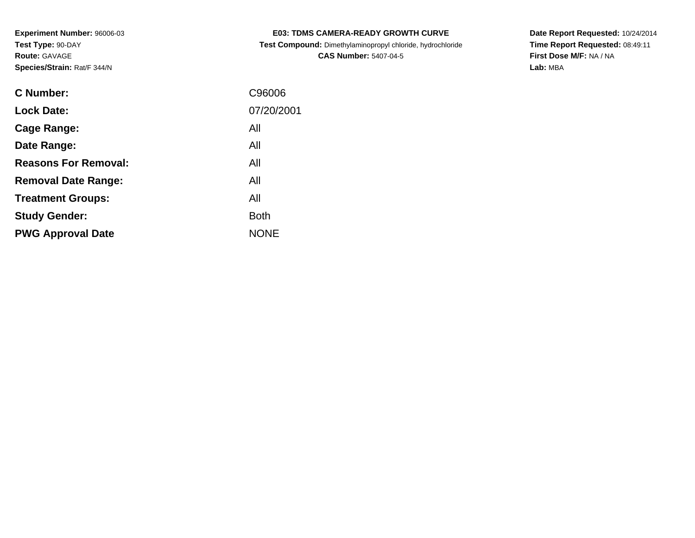| <b>E03: TDMS CAMERA-READY GROWTH CURVE</b>                 |
|------------------------------------------------------------|
| Test Compound: Dimethylaminopropyl chloride, hydrochloride |

**CAS Number:** 5407-04-5

**Date Report Requested:** 10/24/2014 **Time Report Requested:** 08:49:11**First Dose M/F:** NA / NA**Lab:** MBA

| C Number:                   | C96006      |
|-----------------------------|-------------|
| <b>Lock Date:</b>           | 07/20/2001  |
| Cage Range:                 | All         |
| Date Range:                 | All         |
| <b>Reasons For Removal:</b> | All         |
| <b>Removal Date Range:</b>  | All         |
| <b>Treatment Groups:</b>    | All         |
| <b>Study Gender:</b>        | <b>Both</b> |
| <b>PWG Approval Date</b>    | <b>NONE</b> |
|                             |             |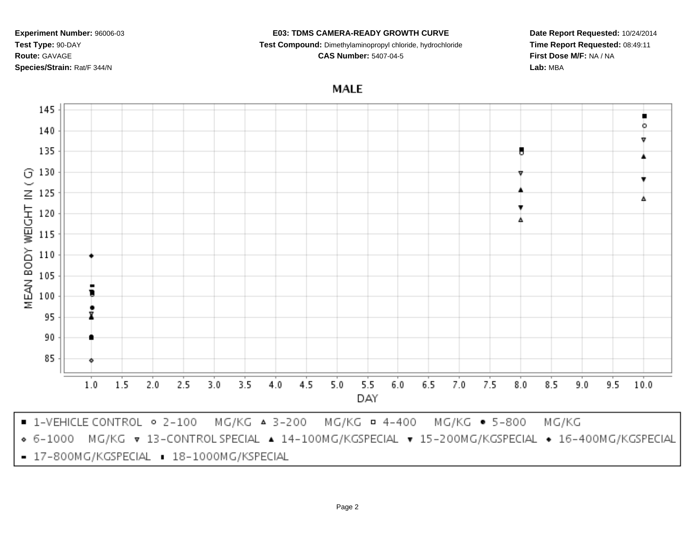#### **E03: TDMS CAMERA-READY GROWTH CURVE**

**Test Compound:** Dimethylaminopropyl chloride, hydrochloride

**CAS Number:** 5407-04-5

**Date Report Requested:** 10/24/2014**Time Report Requested:** 08:49:11**First Dose M/F:** NA / NA**Lab:** MBA

**MALE** 



- 17-800MG/KGSPECIAL . 18-1000MG/KSPECIAL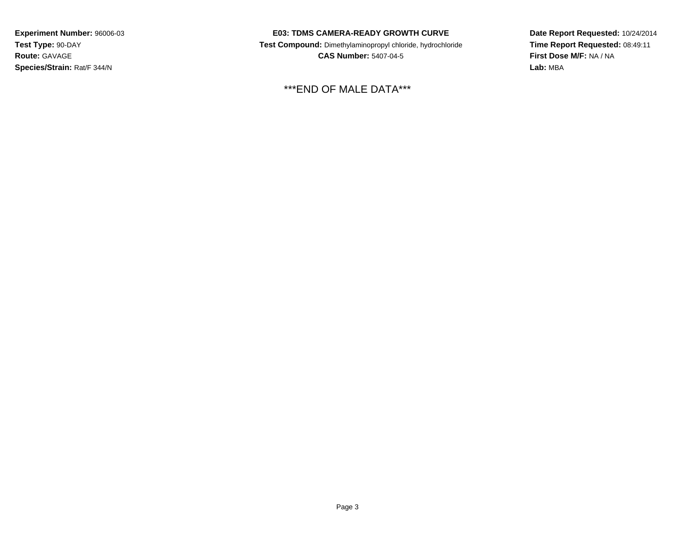### **E03: TDMS CAMERA-READY GROWTH CURVE**

 **Test Compound:** Dimethylaminopropyl chloride, hydrochloride**CAS Number:** 5407-04-5

\*\*\*END OF MALE DATA\*\*\*

**Date Report Requested:** 10/24/2014**Time Report Requested:** 08:49:11**First Dose M/F:** NA / NA**Lab:** MBA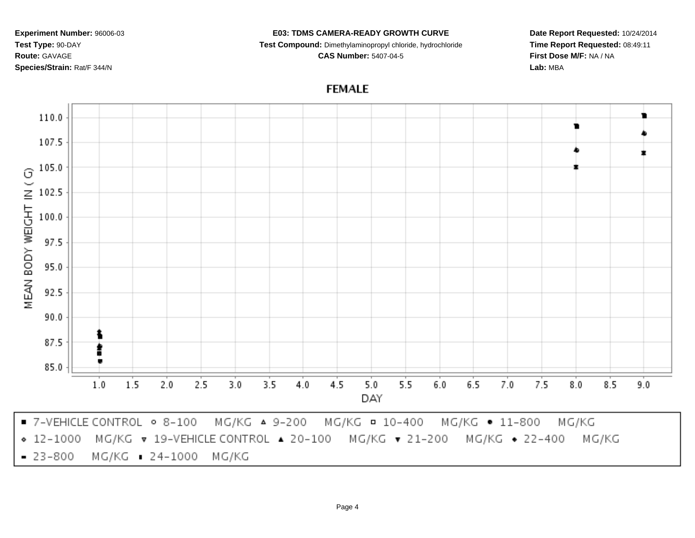#### **E03: TDMS CAMERA-READY GROWTH CURVE**

**Test Compound:** Dimethylaminopropyl chloride, hydrochloride

**CAS Number:** 5407-04-5

**Date Report Requested:** 10/24/2014**Time Report Requested:** 08:49:11**First Dose M/F:** NA / NA**Lab:** MBA

# **FEMALE**